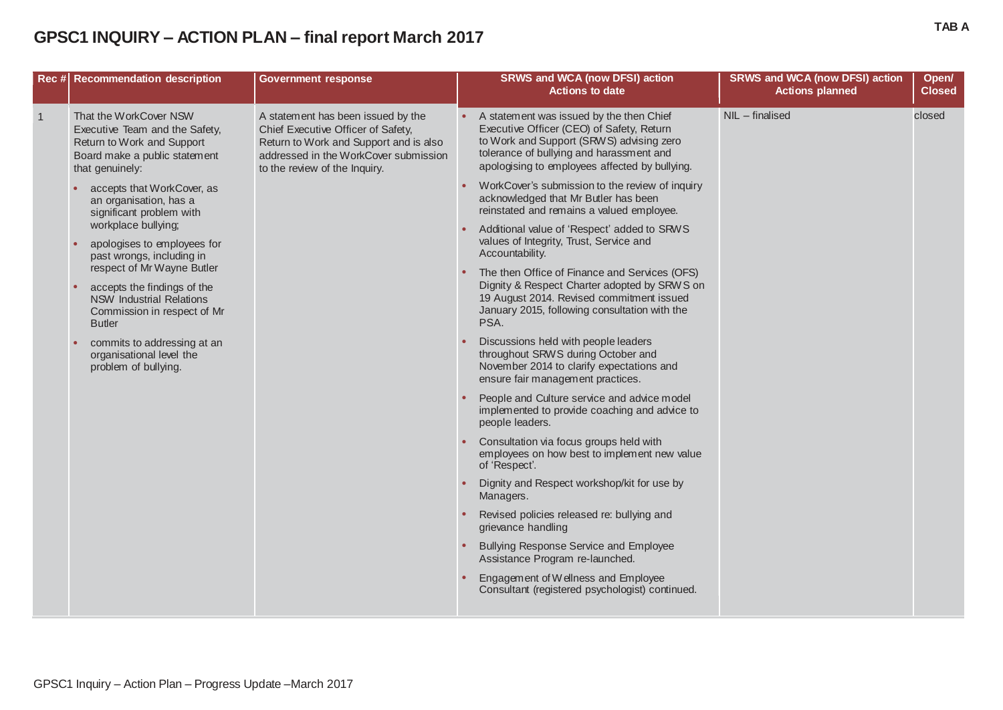## **GPSC1 INQUIRY – ACTION PLAN – final report March 2017 TAB <sup>A</sup>**

|                | Rec # Recommendation description                                                                                                           | <b>Government response</b>                                                                                                                                                                   |                                                                                                                                                                                                     | <b>SRWS and WCA (now DFSI) action</b><br><b>Actions to date</b>                                                                                                                                                                 | <b>SRWS and WCA (now DFSI) action</b><br><b>Actions planned</b> | Open/<br><b>Closed</b> |
|----------------|--------------------------------------------------------------------------------------------------------------------------------------------|----------------------------------------------------------------------------------------------------------------------------------------------------------------------------------------------|-----------------------------------------------------------------------------------------------------------------------------------------------------------------------------------------------------|---------------------------------------------------------------------------------------------------------------------------------------------------------------------------------------------------------------------------------|-----------------------------------------------------------------|------------------------|
| $\overline{1}$ | That the WorkCover NSW<br>Executive Team and the Safety,<br>Return to Work and Support<br>Board make a public statement<br>that genuinely: | A statement has been issued by the<br>Chief Executive Officer of Safety,<br>Return to Work and Support and is also<br>addressed in the WorkCover submission<br>to the review of the Inquiry. |                                                                                                                                                                                                     | A statement was issued by the then Chief<br>Executive Officer (CEO) of Safety, Return<br>to Work and Support (SRWS) advising zero<br>tolerance of bullying and harassment and<br>apologising to employees affected by bullying. | NIL - finalised                                                 | closed                 |
|                | accepts that WorkCover, as<br>an organisation, has a<br>significant problem with                                                           |                                                                                                                                                                                              |                                                                                                                                                                                                     | WorkCover's submission to the review of inquiry<br>acknowledged that Mr Butler has been<br>reinstated and remains a valued employee.                                                                                            |                                                                 |                        |
|                | apologises to employees for<br>past wrongs, including in                                                                                   | workplace bullying;<br>respect of Mr Wayne Butler                                                                                                                                            |                                                                                                                                                                                                     | Additional value of 'Respect' added to SRWS<br>values of Integrity, Trust, Service and<br>Accountability.                                                                                                                       |                                                                 |                        |
|                | accepts the findings of the<br><b>NSW Industrial Relations</b><br>Commission in respect of Mr<br><b>Butler</b>                             |                                                                                                                                                                                              | The then Office of Finance and Services (OFS)<br>Dignity & Respect Charter adopted by SRWS on<br>19 August 2014. Revised commitment issued<br>January 2015, following consultation with the<br>PSA. |                                                                                                                                                                                                                                 |                                                                 |                        |
|                | commits to addressing at an<br>organisational level the<br>problem of bullying.                                                            |                                                                                                                                                                                              |                                                                                                                                                                                                     | Discussions held with people leaders<br>throughout SRWS during October and<br>November 2014 to clarify expectations and<br>ensure fair management practices.                                                                    |                                                                 |                        |
|                |                                                                                                                                            |                                                                                                                                                                                              |                                                                                                                                                                                                     | People and Culture service and advice model<br>implemented to provide coaching and advice to<br>people leaders.                                                                                                                 |                                                                 |                        |
|                |                                                                                                                                            |                                                                                                                                                                                              |                                                                                                                                                                                                     | Consultation via focus groups held with<br>employees on how best to implement new value<br>of 'Respect'.                                                                                                                        |                                                                 |                        |
|                |                                                                                                                                            |                                                                                                                                                                                              |                                                                                                                                                                                                     | Dignity and Respect workshop/kit for use by<br>Managers.                                                                                                                                                                        |                                                                 |                        |
|                |                                                                                                                                            |                                                                                                                                                                                              |                                                                                                                                                                                                     | Revised policies released re: bullying and<br>grievance handling                                                                                                                                                                |                                                                 |                        |
|                |                                                                                                                                            |                                                                                                                                                                                              |                                                                                                                                                                                                     | Bullying Response Service and Employee<br>Assistance Program re-launched.                                                                                                                                                       |                                                                 |                        |
|                |                                                                                                                                            |                                                                                                                                                                                              |                                                                                                                                                                                                     | Engagement of Wellness and Employee<br>Consultant (registered psychologist) continued.                                                                                                                                          |                                                                 |                        |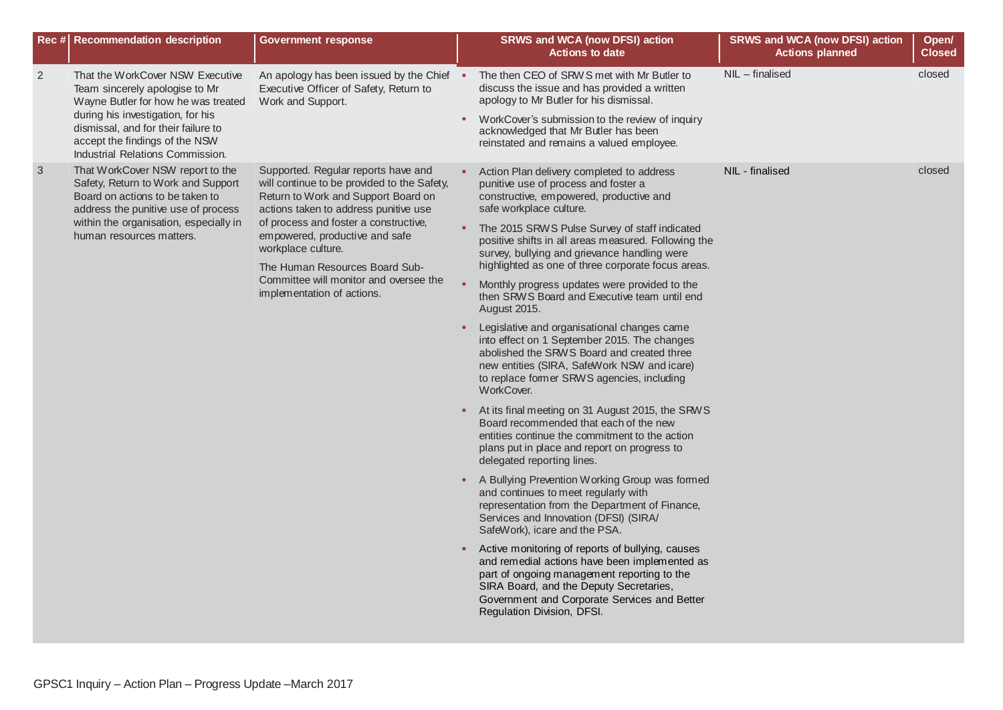| Rec # Recommendation description                                                                                                                                                                                                                                              | <b>Government response</b>                                                                                                                                                                                                                                                                                                                                                    |           | <b>SRWS and WCA (now DFSI) action</b><br><b>Actions to date</b>                                                                                                                                                                                                                                                                                                                                                                                                                                                                                                                                                                                                                                                                                                                                                                                                                                                                                                                                                                                                                                                                                                                                                                                                                                                                                                                                                                                                                    | <b>SRWS and WCA (now DFSI) action</b><br><b>Actions planned</b> | Open/<br><b>Closed</b> |
|-------------------------------------------------------------------------------------------------------------------------------------------------------------------------------------------------------------------------------------------------------------------------------|-------------------------------------------------------------------------------------------------------------------------------------------------------------------------------------------------------------------------------------------------------------------------------------------------------------------------------------------------------------------------------|-----------|------------------------------------------------------------------------------------------------------------------------------------------------------------------------------------------------------------------------------------------------------------------------------------------------------------------------------------------------------------------------------------------------------------------------------------------------------------------------------------------------------------------------------------------------------------------------------------------------------------------------------------------------------------------------------------------------------------------------------------------------------------------------------------------------------------------------------------------------------------------------------------------------------------------------------------------------------------------------------------------------------------------------------------------------------------------------------------------------------------------------------------------------------------------------------------------------------------------------------------------------------------------------------------------------------------------------------------------------------------------------------------------------------------------------------------------------------------------------------------|-----------------------------------------------------------------|------------------------|
| $\overline{2}$<br>That the WorkCover NSW Executive<br>Team sincerely apologise to Mr<br>Wayne Butler for how he was treated<br>during his investigation, for his<br>dismissal, and for their failure to<br>accept the findings of the NSW<br>Industrial Relations Commission. | An apology has been issued by the Chief .<br>Executive Officer of Safety, Return to<br>Work and Support.                                                                                                                                                                                                                                                                      | $\bullet$ | The then CEO of SRWS met with Mr Butler to<br>discuss the issue and has provided a written<br>apology to Mr Butler for his dismissal.<br>WorkCover's submission to the review of inquiry<br>acknowledged that Mr Butler has been<br>reinstated and remains a valued employee.                                                                                                                                                                                                                                                                                                                                                                                                                                                                                                                                                                                                                                                                                                                                                                                                                                                                                                                                                                                                                                                                                                                                                                                                      | NIL - finalised                                                 | closed                 |
| That WorkCover NSW report to the<br>3<br>Safety, Return to Work and Support<br>Board on actions to be taken to<br>address the punitive use of process<br>within the organisation, especially in<br>human resources matters.                                                   | Supported. Regular reports have and<br>will continue to be provided to the Safety,<br>Return to Work and Support Board on<br>actions taken to address punitive use<br>of process and foster a constructive,<br>empowered, productive and safe<br>workplace culture.<br>The Human Resources Board Sub-<br>Committee will monitor and oversee the<br>implementation of actions. |           | Action Plan delivery completed to address<br>punitive use of process and foster a<br>constructive, empowered, productive and<br>safe workplace culture.<br>• The 2015 SRWS Pulse Survey of staff indicated<br>positive shifts in all areas measured. Following the<br>survey, bullying and grievance handling were<br>highlighted as one of three corporate focus areas.<br>Monthly progress updates were provided to the<br>then SRWS Board and Executive team until end<br>August 2015.<br>Legislative and organisational changes came<br>into effect on 1 September 2015. The changes<br>abolished the SRWS Board and created three<br>new entities (SIRA, SafeWork NSW and icare)<br>to replace former SRWS agencies, including<br>WorkCover.<br>At its final meeting on 31 August 2015, the SRWS<br>Board recommended that each of the new<br>entities continue the commitment to the action<br>plans put in place and report on progress to<br>delegated reporting lines.<br>A Bullying Prevention Working Group was formed<br>and continues to meet regularly with<br>representation from the Department of Finance,<br>Services and Innovation (DFSI) (SIRA/<br>SafeWork), icare and the PSA.<br>Active monitoring of reports of bullying, causes<br>and remedial actions have been implemented as<br>part of ongoing management reporting to the<br>SIRA Board, and the Deputy Secretaries,<br>Government and Corporate Services and Better<br>Regulation Division, DFSI. | NIL - finalised                                                 | closed                 |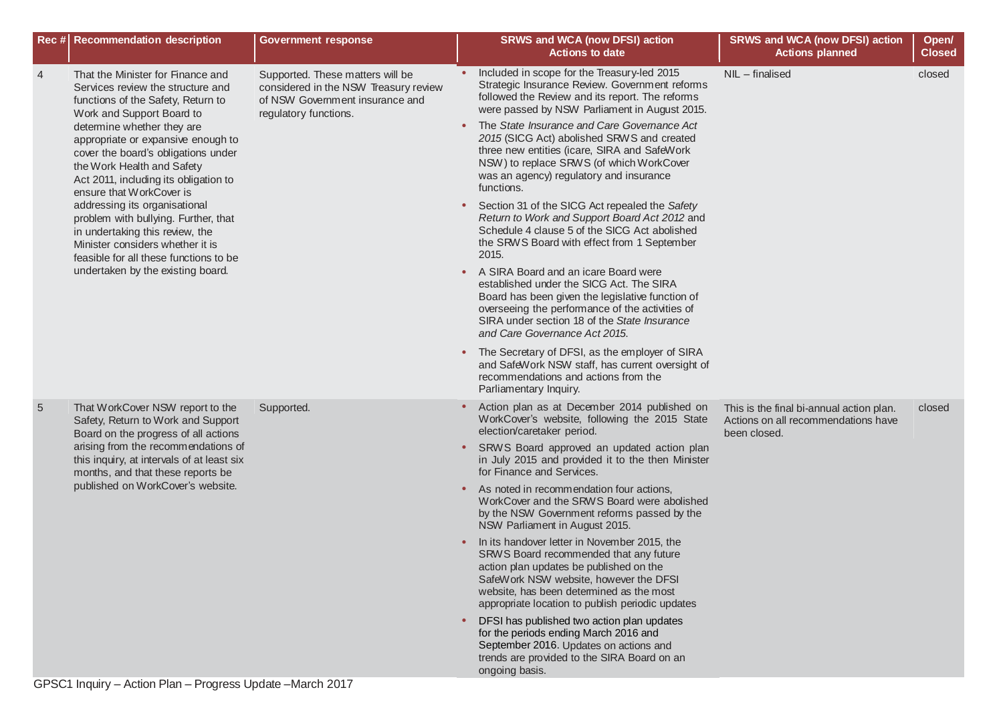|                 | Rec # Recommendation description                                                                                                                                                                                                                                                                                                                                                                                                                                                                                                                                                       | <b>Government response</b>                                                                                                            |           | <b>SRWS and WCA (now DFSI) action</b><br><b>Actions to date</b>                                                                                                                                                                                                             | <b>SRWS and WCA (now DFSI) action</b><br><b>Actions planned</b>                                 | Open/<br><b>Closed</b> |
|-----------------|----------------------------------------------------------------------------------------------------------------------------------------------------------------------------------------------------------------------------------------------------------------------------------------------------------------------------------------------------------------------------------------------------------------------------------------------------------------------------------------------------------------------------------------------------------------------------------------|---------------------------------------------------------------------------------------------------------------------------------------|-----------|-----------------------------------------------------------------------------------------------------------------------------------------------------------------------------------------------------------------------------------------------------------------------------|-------------------------------------------------------------------------------------------------|------------------------|
| $\overline{4}$  | That the Minister for Finance and<br>Services review the structure and<br>functions of the Safety, Return to<br>Work and Support Board to<br>determine whether they are<br>appropriate or expansive enough to<br>cover the board's obligations under<br>the Work Health and Safety<br>Act 2011, including its obligation to<br>ensure that WorkCover is<br>addressing its organisational<br>problem with bullying. Further, that<br>in undertaking this review, the<br>Minister considers whether it is<br>feasible for all these functions to be<br>undertaken by the existing board. | Supported. These matters will be<br>considered in the NSW Treasury review<br>of NSW Government insurance and<br>regulatory functions. |           | Included in scope for the Treasury-led 2015<br>Strategic Insurance Review. Government reforms<br>followed the Review and its report. The reforms<br>were passed by NSW Parliament in August 2015.                                                                           | NIL - finalised                                                                                 | closed                 |
|                 |                                                                                                                                                                                                                                                                                                                                                                                                                                                                                                                                                                                        |                                                                                                                                       |           | The State Insurance and Care Governance Act<br>2015 (SICG Act) abolished SRWS and created<br>three new entities (icare, SIRA and SafeWork<br>NSW) to replace SRWS (of which WorkCover<br>was an agency) regulatory and insurance<br>functions.                              |                                                                                                 |                        |
|                 |                                                                                                                                                                                                                                                                                                                                                                                                                                                                                                                                                                                        |                                                                                                                                       | $\bullet$ | Section 31 of the SICG Act repealed the Safety<br>Return to Work and Support Board Act 2012 and<br>Schedule 4 clause 5 of the SICG Act abolished<br>the SRWS Board with effect from 1 September<br>2015.                                                                    |                                                                                                 |                        |
|                 |                                                                                                                                                                                                                                                                                                                                                                                                                                                                                                                                                                                        |                                                                                                                                       | $\bullet$ | A SIRA Board and an icare Board were<br>established under the SICG Act. The SIRA<br>Board has been given the legislative function of<br>overseeing the performance of the activities of<br>SIRA under section 18 of the State Insurance<br>and Care Governance Act 2015.    |                                                                                                 |                        |
|                 |                                                                                                                                                                                                                                                                                                                                                                                                                                                                                                                                                                                        |                                                                                                                                       | $\bullet$ | The Secretary of DFSI, as the employer of SIRA<br>and SafeWork NSW staff, has current oversight of<br>recommendations and actions from the<br>Parliamentary Inquiry.                                                                                                        |                                                                                                 |                        |
| $5\overline{)}$ | That WorkCover NSW report to the<br>Safety, Return to Work and Support<br>Board on the progress of all actions                                                                                                                                                                                                                                                                                                                                                                                                                                                                         | Supported.                                                                                                                            |           | Action plan as at December 2014 published on<br>WorkCover's website, following the 2015 State<br>election/caretaker period.                                                                                                                                                 | This is the final bi-annual action plan.<br>Actions on all recommendations have<br>been closed. | closed                 |
|                 | arising from the recommendations of<br>this inquiry, at intervals of at least six<br>months, and that these reports be                                                                                                                                                                                                                                                                                                                                                                                                                                                                 |                                                                                                                                       |           | SRWS Board approved an updated action plan<br>in July 2015 and provided it to the then Minister<br>for Finance and Services.                                                                                                                                                |                                                                                                 |                        |
|                 | published on WorkCover's website.                                                                                                                                                                                                                                                                                                                                                                                                                                                                                                                                                      |                                                                                                                                       |           | As noted in recommendation four actions,<br>WorkCover and the SRWS Board were abolished<br>by the NSW Government reforms passed by the<br>NSW Parliament in August 2015.                                                                                                    |                                                                                                 |                        |
|                 |                                                                                                                                                                                                                                                                                                                                                                                                                                                                                                                                                                                        |                                                                                                                                       |           | In its handover letter in November 2015, the<br>SRWS Board recommended that any future<br>action plan updates be published on the<br>SafeWork NSW website, however the DFSI<br>website, has been determined as the most<br>appropriate location to publish periodic updates |                                                                                                 |                        |
|                 |                                                                                                                                                                                                                                                                                                                                                                                                                                                                                                                                                                                        |                                                                                                                                       |           | DFSI has published two action plan updates<br>for the periods ending March 2016 and<br>September 2016. Updates on actions and<br>trends are provided to the SIRA Board on an<br>ongoing basis.                                                                              |                                                                                                 |                        |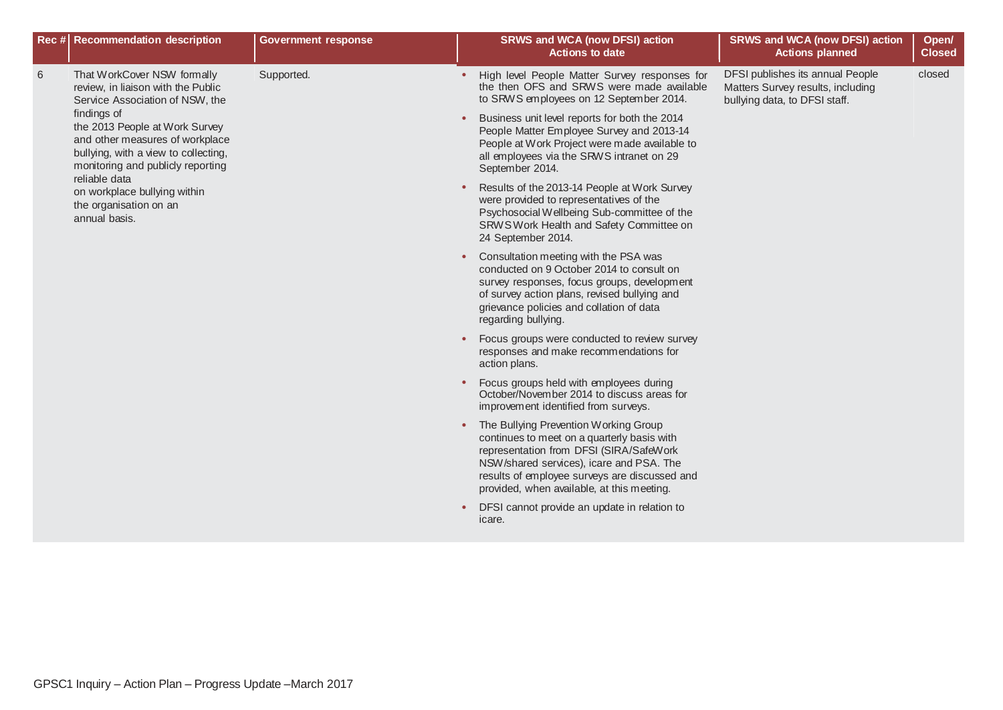|   | Rec # Recommendation description                                                                                                                                                                                                                          | <b>Government response</b>                                     |                                                                                                                               | <b>SRWS and WCA (now DFSI) action</b><br><b>Actions to date</b>                                                                                                                                                                                                            | <b>SRWS and WCA (now DFSI) action</b><br><b>Actions planned</b>                                        | Open/<br><b>Closed</b> |
|---|-----------------------------------------------------------------------------------------------------------------------------------------------------------------------------------------------------------------------------------------------------------|----------------------------------------------------------------|-------------------------------------------------------------------------------------------------------------------------------|----------------------------------------------------------------------------------------------------------------------------------------------------------------------------------------------------------------------------------------------------------------------------|--------------------------------------------------------------------------------------------------------|------------------------|
| 6 | That WorkCover NSW formally<br>review, in liaison with the Public<br>Service Association of NSW, the                                                                                                                                                      | Supported.<br>$\bullet$<br>$\bullet$<br>$\bullet$<br>$\bullet$ |                                                                                                                               | High level People Matter Survey responses for<br>the then OFS and SRWS were made available<br>to SRWS employees on 12 September 2014.                                                                                                                                      | DFSI publishes its annual People<br>Matters Survey results, including<br>bullying data, to DFSI staff. | closed                 |
|   | findings of<br>the 2013 People at Work Survey<br>and other measures of workplace<br>bullying, with a view to collecting,<br>monitoring and publicly reporting<br>reliable data<br>on workplace bullying within<br>the organisation on an<br>annual basis. |                                                                |                                                                                                                               | Business unit level reports for both the 2014<br>People Matter Employee Survey and 2013-14<br>People at Work Project were made available to<br>all employees via the SRWS intranet on 29<br>September 2014.                                                                |                                                                                                        |                        |
|   |                                                                                                                                                                                                                                                           |                                                                |                                                                                                                               | Results of the 2013-14 People at Work Survey<br>were provided to representatives of the<br>Psychosocial Wellbeing Sub-committee of the<br>SRWS Work Health and Safety Committee on<br>24 September 2014.                                                                   |                                                                                                        |                        |
|   |                                                                                                                                                                                                                                                           |                                                                |                                                                                                                               | Consultation meeting with the PSA was<br>conducted on 9 October 2014 to consult on<br>survey responses, focus groups, development<br>of survey action plans, revised bullying and<br>grievance policies and collation of data<br>regarding bullying.                       |                                                                                                        |                        |
|   |                                                                                                                                                                                                                                                           |                                                                |                                                                                                                               | Focus groups were conducted to review survey<br>responses and make recommendations for<br>action plans.                                                                                                                                                                    |                                                                                                        |                        |
|   |                                                                                                                                                                                                                                                           |                                                                | Focus groups held with employees during<br>October/November 2014 to discuss areas for<br>improvement identified from surveys. |                                                                                                                                                                                                                                                                            |                                                                                                        |                        |
|   |                                                                                                                                                                                                                                                           |                                                                |                                                                                                                               | The Bullying Prevention Working Group<br>continues to meet on a quarterly basis with<br>representation from DFSI (SIRA/SafeWork<br>NSW/shared services), icare and PSA. The<br>results of employee surveys are discussed and<br>provided, when available, at this meeting. |                                                                                                        |                        |
|   |                                                                                                                                                                                                                                                           |                                                                |                                                                                                                               | DFSI cannot provide an update in relation to<br>icare.                                                                                                                                                                                                                     |                                                                                                        |                        |
|   |                                                                                                                                                                                                                                                           |                                                                |                                                                                                                               |                                                                                                                                                                                                                                                                            |                                                                                                        |                        |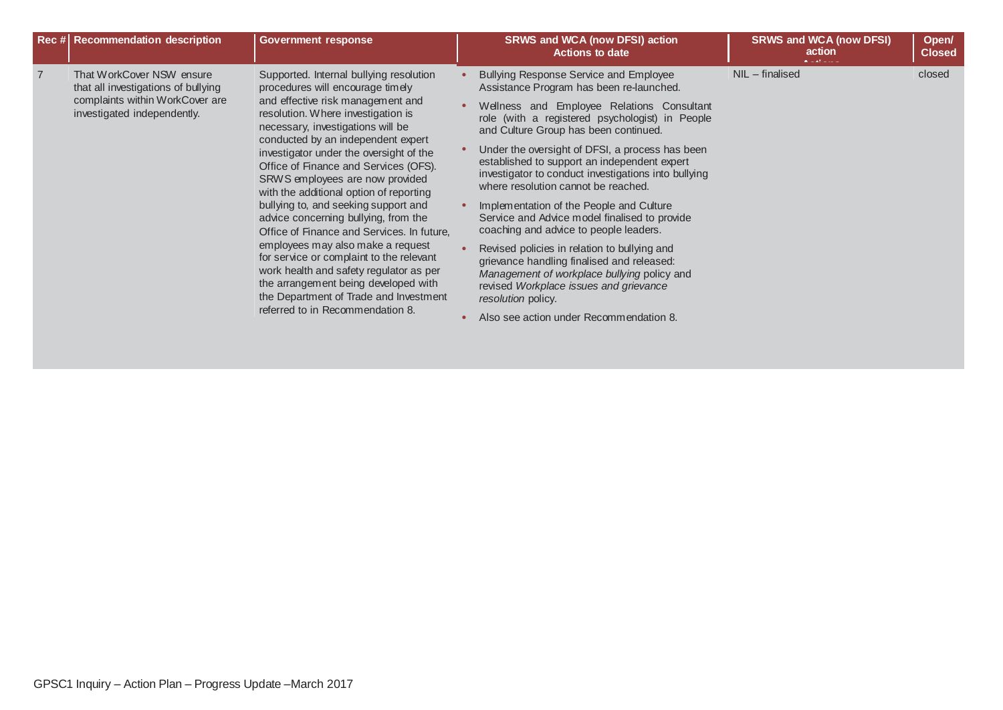| Rec # Recommendation description                                                                                                   | <b>Government response</b>                                                                                                                                                                                                                                                                                                                                                                                                                                                                                                                                                                                                                                                                                                                                                          | <b>SRWS and WCA (now DFSI) action</b><br><b>Actions to date</b>                                                                                                                                                                                                                                                                                                                                                                                                                                                                                                                                                                                                                                                                                                                                                                      | <b>SRWS and WCA (now DFSI)</b><br>action | Open/<br><b>Closed</b> |
|------------------------------------------------------------------------------------------------------------------------------------|-------------------------------------------------------------------------------------------------------------------------------------------------------------------------------------------------------------------------------------------------------------------------------------------------------------------------------------------------------------------------------------------------------------------------------------------------------------------------------------------------------------------------------------------------------------------------------------------------------------------------------------------------------------------------------------------------------------------------------------------------------------------------------------|--------------------------------------------------------------------------------------------------------------------------------------------------------------------------------------------------------------------------------------------------------------------------------------------------------------------------------------------------------------------------------------------------------------------------------------------------------------------------------------------------------------------------------------------------------------------------------------------------------------------------------------------------------------------------------------------------------------------------------------------------------------------------------------------------------------------------------------|------------------------------------------|------------------------|
| That WorkCover NSW ensure<br>that all investigations of bullying<br>complaints within WorkCover are<br>investigated independently. | Supported. Internal bullying resolution<br>procedures will encourage timely<br>and effective risk management and<br>resolution. Where investigation is<br>necessary, investigations will be<br>conducted by an independent expert<br>investigator under the oversight of the<br>Office of Finance and Services (OFS).<br>SRWS employees are now provided<br>with the additional option of reporting<br>bullying to, and seeking support and<br>advice concerning bullying, from the<br>Office of Finance and Services. In future,<br>employees may also make a request<br>for service or complaint to the relevant<br>work health and safety regulator as per<br>the arrangement being developed with<br>the Department of Trade and Investment<br>referred to in Recommendation 8. | <b>Bullying Response Service and Employee</b><br>Assistance Program has been re-launched.<br>Wellness and Employee Relations Consultant<br>role (with a registered psychologist) in People<br>and Culture Group has been continued.<br>Under the oversight of DFSI, a process has been<br>established to support an independent expert<br>investigator to conduct investigations into bullying<br>where resolution cannot be reached.<br>Implementation of the People and Culture<br>Service and Advice model finalised to provide<br>coaching and advice to people leaders.<br>Revised policies in relation to bullying and<br>grievance handling finalised and released:<br>Management of workplace bullying policy and<br>revised Workplace issues and grievance<br>resolution policy.<br>Also see action under Recommendation 8. | $NIL$ – finalised                        | closed                 |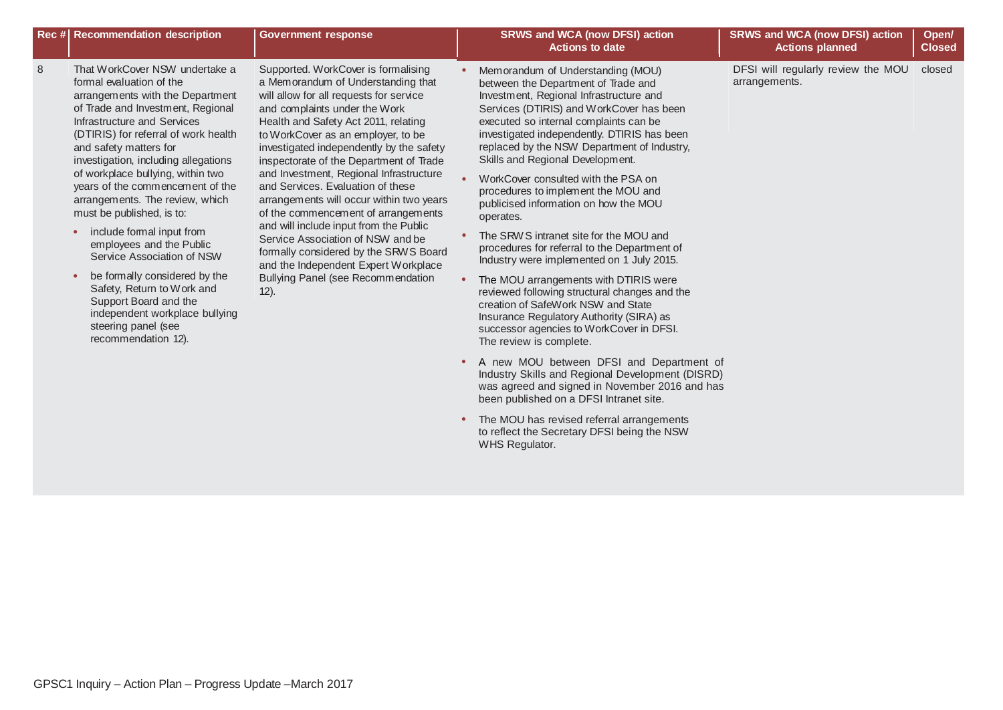|   | Rec # Recommendation description                                                                                                                                                                                                                                                                                                                                                                                                                                                                                                                                                                                                                                                                  | <b>Government response</b>                                                                                                                                                                                                                                                                                                                                                                                                                                                                                                                                                                                                                                                                                     | <b>SRWS and WCA (now DFSI) action</b><br><b>Actions to date</b>                                                                                                                                                                                                                                                                                                                                                                                                                                                                                                                                                                                                                                                                                                                                                                                                            | <b>SRWS and WCA (now DFSI) action</b><br><b>Actions planned</b> | Open/<br><b>Closed</b> |
|---|---------------------------------------------------------------------------------------------------------------------------------------------------------------------------------------------------------------------------------------------------------------------------------------------------------------------------------------------------------------------------------------------------------------------------------------------------------------------------------------------------------------------------------------------------------------------------------------------------------------------------------------------------------------------------------------------------|----------------------------------------------------------------------------------------------------------------------------------------------------------------------------------------------------------------------------------------------------------------------------------------------------------------------------------------------------------------------------------------------------------------------------------------------------------------------------------------------------------------------------------------------------------------------------------------------------------------------------------------------------------------------------------------------------------------|----------------------------------------------------------------------------------------------------------------------------------------------------------------------------------------------------------------------------------------------------------------------------------------------------------------------------------------------------------------------------------------------------------------------------------------------------------------------------------------------------------------------------------------------------------------------------------------------------------------------------------------------------------------------------------------------------------------------------------------------------------------------------------------------------------------------------------------------------------------------------|-----------------------------------------------------------------|------------------------|
| 8 | That WorkCover NSW undertake a<br>formal evaluation of the<br>arrangements with the Department<br>of Trade and Investment, Regional<br>Infrastructure and Services<br>(DTIRIS) for referral of work health<br>and safety matters for<br>investigation, including allegations<br>of workplace bullying, within two<br>years of the commencement of the<br>arrangements. The review, which<br>must be published, is to:<br>include formal input from<br>$\bullet$<br>employees and the Public<br>Service Association of NSW<br>be formally considered by the<br>Safety, Return to Work and<br>Support Board and the<br>independent workplace bullying<br>steering panel (see<br>recommendation 12). | Supported. WorkCover is formalising<br>a Memorandum of Understanding that<br>will allow for all requests for service<br>and complaints under the Work<br>Health and Safety Act 2011, relating<br>to WorkCover as an employer, to be<br>investigated independently by the safety<br>inspectorate of the Department of Trade<br>and Investment, Regional Infrastructure<br>and Services. Evaluation of these<br>arrangements will occur within two years<br>of the commencement of arrangements<br>and will include input from the Public<br>Service Association of NSW and be<br>formally considered by the SRWS Board<br>and the Independent Expert Workplace<br>Bullying Panel (see Recommendation<br>$12$ ). | Memorandum of Understanding (MOU)<br>between the Department of Trade and<br>Investment, Regional Infrastructure and<br>Services (DTIRIS) and WorkCover has been<br>executed so internal complaints can be<br>investigated independently. DTIRIS has been<br>replaced by the NSW Department of Industry,<br>Skills and Regional Development.<br>WorkCover consulted with the PSA on<br>procedures to implement the MOU and<br>publicised information on how the MOU<br>operates.<br>The SRW S intranet site for the MOU and<br>procedures for referral to the Department of<br>Industry were implemented on 1 July 2015.<br>The MOU arrangements with DTIRIS were<br>reviewed following structural changes and the<br>creation of SafeWork NSW and State<br>Insurance Regulatory Authority (SIRA) as<br>successor agencies to WorkCover in DFSI.<br>The review is complete. | DFSI will regularly review the MOU<br>arrangements.             | closed                 |
|   |                                                                                                                                                                                                                                                                                                                                                                                                                                                                                                                                                                                                                                                                                                   |                                                                                                                                                                                                                                                                                                                                                                                                                                                                                                                                                                                                                                                                                                                | A new MOU between DFSI and Department of<br>Industry Skills and Regional Development (DISRD)                                                                                                                                                                                                                                                                                                                                                                                                                                                                                                                                                                                                                                                                                                                                                                               |                                                                 |                        |

was agreed and signed in November 2016 and has

been published on a DFSI Intranet site. **•** The MOU has revised referral arrangements to reflect the Secretary DFSI being the NSW

WHS Regulator.

GPSC1 Inquiry – Action Plan – Progress Update –March 2017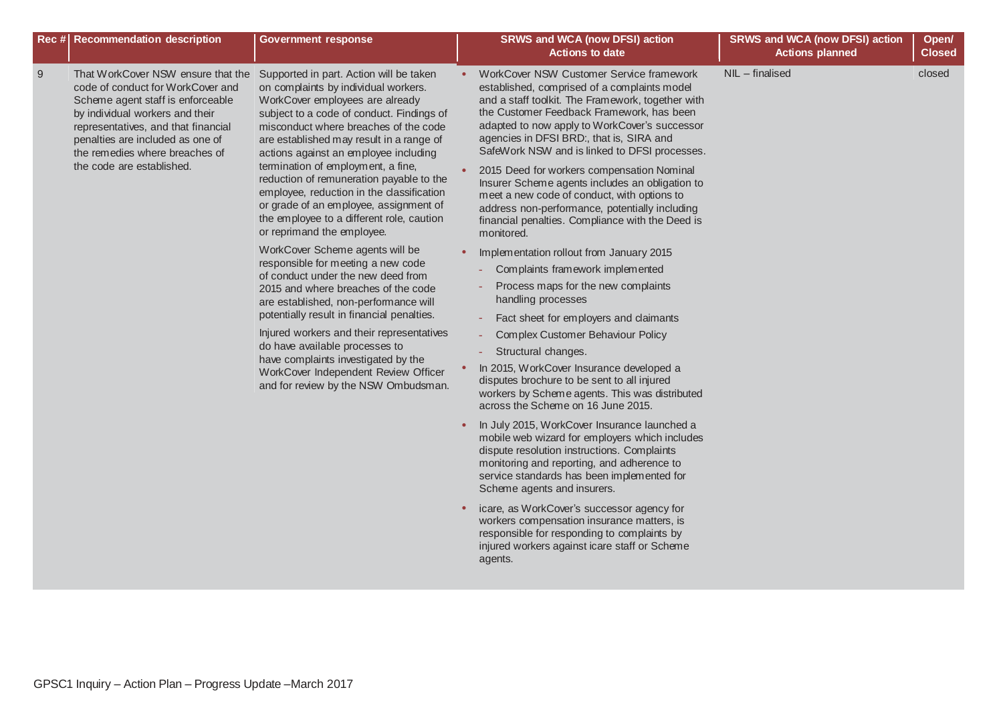| Rec # Recommendation description                                                                                                                                                                                                                                                               | <b>Government response</b>                                                                                                                                                                                                                                                                                                                                                                                                                                                                                                                        | <b>SRWS and WCA (now DFSI) action</b><br><b>Actions to date</b>                                                                                                                                                                                                                                                                                                                                                                                                                                                                                                                                                                                                                                                                                                                                                                                                                                                                      | <b>SRWS and WCA (now DFSI) action</b><br><b>Actions planned</b> | Open/<br><b>Closed</b> |
|------------------------------------------------------------------------------------------------------------------------------------------------------------------------------------------------------------------------------------------------------------------------------------------------|---------------------------------------------------------------------------------------------------------------------------------------------------------------------------------------------------------------------------------------------------------------------------------------------------------------------------------------------------------------------------------------------------------------------------------------------------------------------------------------------------------------------------------------------------|--------------------------------------------------------------------------------------------------------------------------------------------------------------------------------------------------------------------------------------------------------------------------------------------------------------------------------------------------------------------------------------------------------------------------------------------------------------------------------------------------------------------------------------------------------------------------------------------------------------------------------------------------------------------------------------------------------------------------------------------------------------------------------------------------------------------------------------------------------------------------------------------------------------------------------------|-----------------------------------------------------------------|------------------------|
| 9<br>That WorkCover NSW ensure that the<br>code of conduct for WorkCover and<br>Scheme agent staff is enforceable<br>by individual workers and their<br>representatives, and that financial<br>penalties are included as one of<br>the remedies where breaches of<br>the code are established. | Supported in part. Action will be taken<br>on complaints by individual workers.<br>WorkCover employees are already<br>subject to a code of conduct. Findings of<br>misconduct where breaches of the code<br>are established may result in a range of<br>actions against an employee including<br>termination of employment, a fine,<br>reduction of remuneration payable to the<br>employee, reduction in the classification<br>or grade of an employee, assignment of<br>the employee to a different role, caution<br>or reprimand the employee. | WorkCover NSW Customer Service framework<br>established, comprised of a complaints model<br>and a staff toolkit. The Framework, together with<br>the Customer Feedback Framework, has been<br>adapted to now apply to WorkCover's successor<br>agencies in DFSI BRD:, that is, SIRA and<br>SafeWork NSW and is linked to DFSI processes.<br>2015 Deed for workers compensation Nominal<br>Insurer Scheme agents includes an obligation to<br>meet a new code of conduct, with options to<br>address non-performance, potentially including<br>financial penalties. Compliance with the Deed is<br>monitored.                                                                                                                                                                                                                                                                                                                         | NIL - finalised                                                 | closed                 |
|                                                                                                                                                                                                                                                                                                | WorkCover Scheme agents will be<br>responsible for meeting a new code<br>of conduct under the new deed from<br>2015 and where breaches of the code<br>are established, non-performance will<br>potentially result in financial penalties.<br>Injured workers and their representatives<br>do have available processes to<br>have complaints investigated by the<br>WorkCover Independent Review Officer<br>and for review by the NSW Ombudsman.                                                                                                   | Implementation rollout from January 2015<br>Complaints framework implemented<br>Process maps for the new complaints<br>handling processes<br>Fact sheet for employers and claimants<br>Complex Customer Behaviour Policy<br>Structural changes.<br>In 2015, WorkCover Insurance developed a<br>disputes brochure to be sent to all injured<br>workers by Scheme agents. This was distributed<br>across the Scheme on 16 June 2015.<br>In July 2015, WorkCover Insurance launched a<br>$\bullet$<br>mobile web wizard for employers which includes<br>dispute resolution instructions. Complaints<br>monitoring and reporting, and adherence to<br>service standards has been implemented for<br>Scheme agents and insurers.<br>icare, as WorkCover's successor agency for<br>$\bullet$<br>workers compensation insurance matters, is<br>responsible for responding to complaints by<br>injured workers against icare staff or Scheme |                                                                 |                        |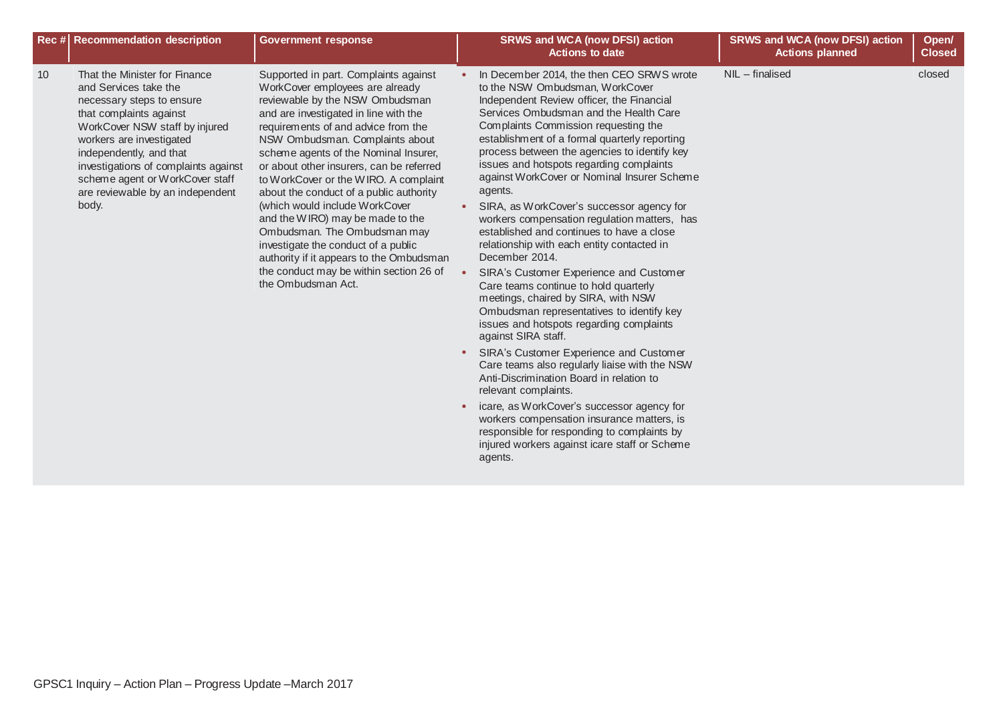| <b>Recommendation description</b><br>Rec#                                                                                                                                                                                                                                                                                             | <b>Government response</b>                                                                                                                                                                                                                                                                                                                                                                                                                                                                                                                                                                                                                                        | <b>SRWS and WCA (now DFSI) action</b><br><b>Actions to date</b>                                                                                                                                                                                                                                                                                                                                                                                                                                                                                                                                                                                                                                                                                                                                                                                                                                                                                                                                                                                                                                                                                                                    | <b>SRWS and WCA (now DFSI) action</b><br><b>Actions planned</b> | Open/<br><b>Closed</b> |
|---------------------------------------------------------------------------------------------------------------------------------------------------------------------------------------------------------------------------------------------------------------------------------------------------------------------------------------|-------------------------------------------------------------------------------------------------------------------------------------------------------------------------------------------------------------------------------------------------------------------------------------------------------------------------------------------------------------------------------------------------------------------------------------------------------------------------------------------------------------------------------------------------------------------------------------------------------------------------------------------------------------------|------------------------------------------------------------------------------------------------------------------------------------------------------------------------------------------------------------------------------------------------------------------------------------------------------------------------------------------------------------------------------------------------------------------------------------------------------------------------------------------------------------------------------------------------------------------------------------------------------------------------------------------------------------------------------------------------------------------------------------------------------------------------------------------------------------------------------------------------------------------------------------------------------------------------------------------------------------------------------------------------------------------------------------------------------------------------------------------------------------------------------------------------------------------------------------|-----------------------------------------------------------------|------------------------|
| 10<br>That the Minister for Finance<br>and Services take the<br>necessary steps to ensure<br>that complaints against<br>WorkCover NSW staff by injured<br>workers are investigated<br>independently, and that<br>investigations of complaints against<br>scheme agent or WorkCover staff<br>are reviewable by an independent<br>body. | Supported in part. Complaints against<br>WorkCover employees are already<br>reviewable by the NSW Ombudsman<br>and are investigated in line with the<br>requirements of and advice from the<br>NSW Ombudsman. Complaints about<br>scheme agents of the Nominal Insurer,<br>or about other insurers, can be referred<br>to WorkCover or the WIRO. A complaint<br>about the conduct of a public authority<br>(which would include WorkCover<br>and the WIRO) may be made to the<br>Ombudsman. The Ombudsman may<br>investigate the conduct of a public<br>authority if it appears to the Ombudsman<br>the conduct may be within section 26 of<br>the Ombudsman Act. | In December 2014, the then CEO SRWS wrote<br>to the NSW Ombudsman, WorkCover<br>Independent Review officer, the Financial<br>Services Ombudsman and the Health Care<br>Complaints Commission requesting the<br>establishment of a formal quarterly reporting<br>process between the agencies to identify key<br>issues and hotspots regarding complaints<br>against WorkCover or Nominal Insurer Scheme<br>agents.<br>SIRA, as WorkCover's successor agency for<br>workers compensation regulation matters, has<br>established and continues to have a close<br>relationship with each entity contacted in<br>December 2014.<br>SIRA's Customer Experience and Customer<br>Care teams continue to hold quarterly<br>meetings, chaired by SIRA, with NSW<br>Ombudsman representatives to identify key<br>issues and hotspots regarding complaints<br>against SIRA staff.<br>SIRA's Customer Experience and Customer<br>Care teams also regularly liaise with the NSW<br>Anti-Discrimination Board in relation to<br>relevant complaints.<br>icare, as WorkCover's successor agency for<br>workers compensation insurance matters, is<br>responsible for responding to complaints by | $NIL$ – finalised                                               | closed                 |

agents.

injured workers against icare staff or Scheme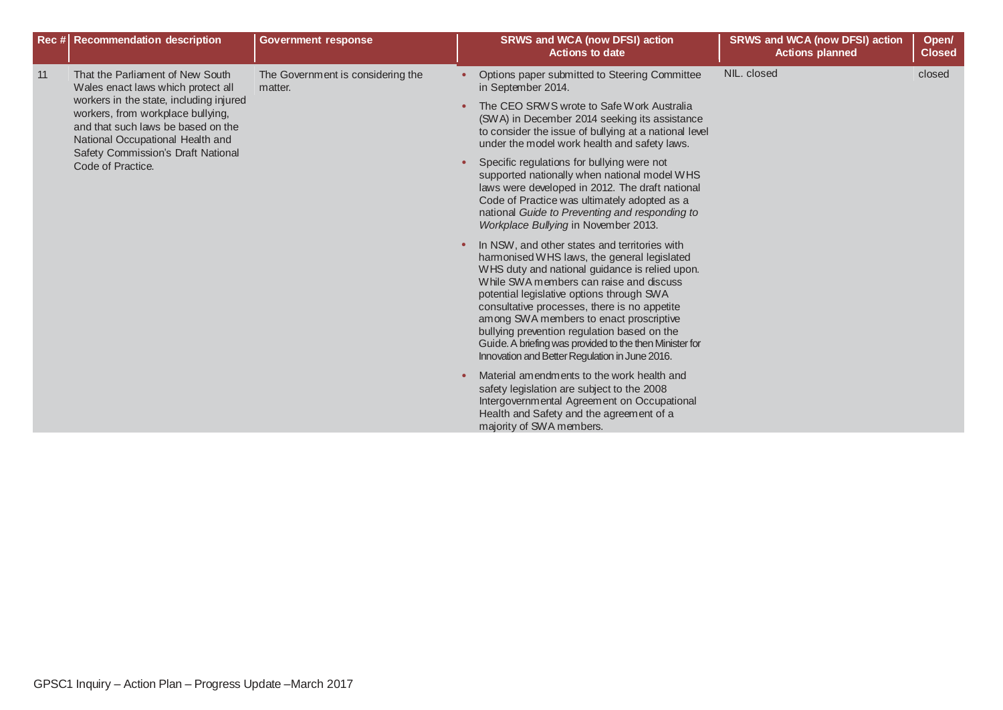|    | Rec # Recommendation description                                                                                                                                                                                                                                                                                                            | <b>Government response</b> |                                                                                                                                                                                                                                                                                                                                                                                                                                                                                               | <b>SRWS and WCA (now DFSI) action</b><br><b>Actions to date</b>                                                                                                                                                                                                                         | <b>SRWS and WCA (now DFSI) action</b><br><b>Actions planned</b> | Open/<br><b>Closed</b> |
|----|---------------------------------------------------------------------------------------------------------------------------------------------------------------------------------------------------------------------------------------------------------------------------------------------------------------------------------------------|----------------------------|-----------------------------------------------------------------------------------------------------------------------------------------------------------------------------------------------------------------------------------------------------------------------------------------------------------------------------------------------------------------------------------------------------------------------------------------------------------------------------------------------|-----------------------------------------------------------------------------------------------------------------------------------------------------------------------------------------------------------------------------------------------------------------------------------------|-----------------------------------------------------------------|------------------------|
| 11 | The Government is considering the<br>That the Parliament of New South<br>Wales enact laws which protect all<br>matter.<br>workers in the state, including injured<br>workers, from workplace bullying,<br>and that such laws be based on the<br>National Occupational Health and<br>Safety Commission's Draft National<br>Code of Practice. |                            |                                                                                                                                                                                                                                                                                                                                                                                                                                                                                               | Options paper submitted to Steering Committee<br>in September 2014.                                                                                                                                                                                                                     | NIL. closed                                                     | closed                 |
|    |                                                                                                                                                                                                                                                                                                                                             |                            | The CEO SRWS wrote to Safe Work Australia<br>(SWA) in December 2014 seeking its assistance<br>to consider the issue of bullying at a national level<br>under the model work health and safety laws.                                                                                                                                                                                                                                                                                           |                                                                                                                                                                                                                                                                                         |                                                                 |                        |
|    |                                                                                                                                                                                                                                                                                                                                             |                            |                                                                                                                                                                                                                                                                                                                                                                                                                                                                                               | Specific regulations for bullying were not<br>supported nationally when national model WHS<br>laws were developed in 2012. The draft national<br>Code of Practice was ultimately adopted as a<br>national Guide to Preventing and responding to<br>Workplace Bullying in November 2013. |                                                                 |                        |
|    |                                                                                                                                                                                                                                                                                                                                             |                            | In NSW, and other states and territories with<br>harmonised WHS laws, the general legislated<br>WHS duty and national guidance is relied upon.<br>While SWA members can raise and discuss<br>potential legislative options through SWA<br>consultative processes, there is no appetite<br>among SWA members to enact proscriptive<br>bullying prevention regulation based on the<br>Guide. A briefing was provided to the then Minister for<br>Innovation and Better Regulation in June 2016. |                                                                                                                                                                                                                                                                                         |                                                                 |                        |
|    |                                                                                                                                                                                                                                                                                                                                             |                            |                                                                                                                                                                                                                                                                                                                                                                                                                                                                                               | Material amendments to the work health and<br>safety legislation are subject to the 2008<br>Intergovernmental Agreement on Occupational<br>Health and Safety and the agreement of a<br>majority of SWA members.                                                                         |                                                                 |                        |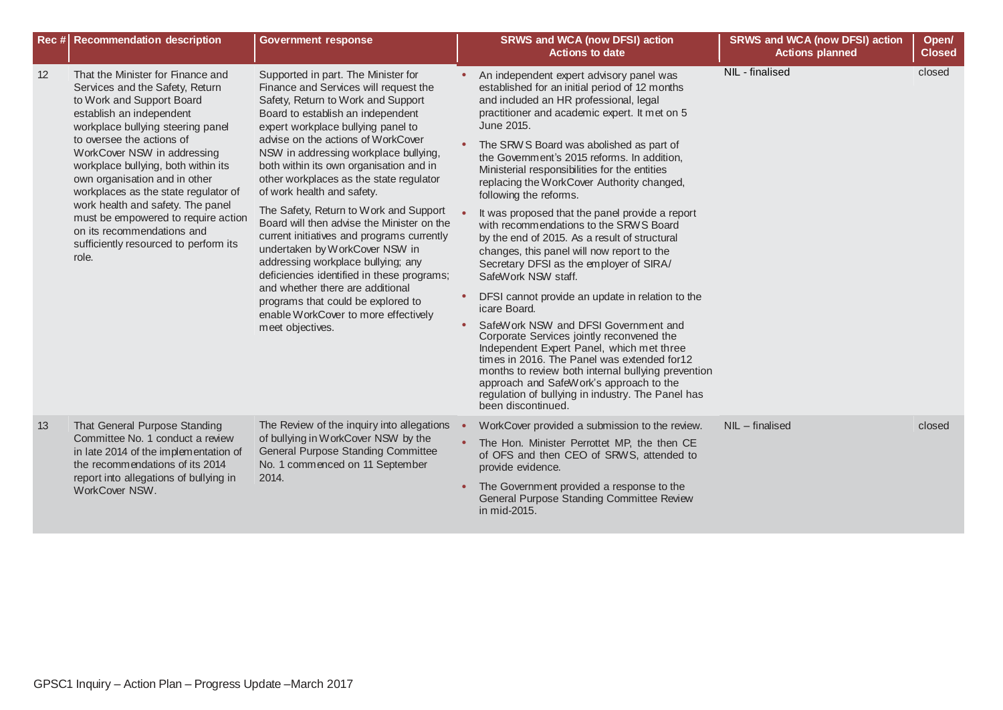|    | Rec # Recommendation description                                                                                                                                                                                                                                                                                                                                                                                                                                                                           | <b>Government response</b>                                                                                                                                                                                                                                                                                                                                                                                                                                                                                                                                                                                                                                                                                                                                                                         |           | <b>SRWS and WCA (now DFSI) action</b><br><b>Actions to date</b>                                                                                                                                                                                                                                                                                                                                                                                                                                                                                                                                                                                                                                                                                                                                                                                                                                                                                                                                                                                                                                                         | <b>SRWS and WCA (now DFSI) action</b><br><b>Actions planned</b> | Open/<br><b>Closed</b> |
|----|------------------------------------------------------------------------------------------------------------------------------------------------------------------------------------------------------------------------------------------------------------------------------------------------------------------------------------------------------------------------------------------------------------------------------------------------------------------------------------------------------------|----------------------------------------------------------------------------------------------------------------------------------------------------------------------------------------------------------------------------------------------------------------------------------------------------------------------------------------------------------------------------------------------------------------------------------------------------------------------------------------------------------------------------------------------------------------------------------------------------------------------------------------------------------------------------------------------------------------------------------------------------------------------------------------------------|-----------|-------------------------------------------------------------------------------------------------------------------------------------------------------------------------------------------------------------------------------------------------------------------------------------------------------------------------------------------------------------------------------------------------------------------------------------------------------------------------------------------------------------------------------------------------------------------------------------------------------------------------------------------------------------------------------------------------------------------------------------------------------------------------------------------------------------------------------------------------------------------------------------------------------------------------------------------------------------------------------------------------------------------------------------------------------------------------------------------------------------------------|-----------------------------------------------------------------|------------------------|
| 12 | That the Minister for Finance and<br>Services and the Safety, Return<br>to Work and Support Board<br>establish an independent<br>workplace bullying steering panel<br>to oversee the actions of<br>WorkCover NSW in addressing<br>workplace bullying, both within its<br>own organisation and in other<br>workplaces as the state regulator of<br>work health and safety. The panel<br>must be empowered to require action<br>on its recommendations and<br>sufficiently resourced to perform its<br>role. | Supported in part. The Minister for<br>Finance and Services will request the<br>Safety, Return to Work and Support<br>Board to establish an independent<br>expert workplace bullying panel to<br>advise on the actions of WorkCover<br>NSW in addressing workplace bullying,<br>both within its own organisation and in<br>other workplaces as the state regulator<br>of work health and safety.<br>The Safety, Return to Work and Support<br>Board will then advise the Minister on the<br>current initiatives and programs currently<br>undertaken by WorkCover NSW in<br>addressing workplace bullying; any<br>deficiencies identified in these programs;<br>and whether there are additional<br>programs that could be explored to<br>enable WorkCover to more effectively<br>meet objectives. |           | An independent expert advisory panel was<br>established for an initial period of 12 months<br>and included an HR professional, legal<br>practitioner and academic expert. It met on 5<br>June 2015.<br>The SRW S Board was abolished as part of<br>the Government's 2015 reforms. In addition,<br>Ministerial responsibilities for the entities<br>replacing the WorkCover Authority changed,<br>following the reforms.<br>It was proposed that the panel provide a report<br>with recommendations to the SRWS Board<br>by the end of 2015. As a result of structural<br>changes, this panel will now report to the<br>Secretary DFSI as the employer of SIRA/<br>SafeWork NSW staff.<br>DFSI cannot provide an update in relation to the<br>icare Board.<br>SafeWork NSW and DFSI Government and<br>Corporate Services jointly reconvened the<br>Independent Expert Panel, which met three<br>times in 2016. The Panel was extended for 12<br>months to review both internal bullying prevention<br>approach and SafeWork's approach to the<br>regulation of bullying in industry. The Panel has<br>been discontinued. | NIL - finalised                                                 | closed                 |
| 13 | That General Purpose Standing<br>Committee No. 1 conduct a review<br>in late 2014 of the implementation of<br>the recommendations of its 2014<br>report into allegations of bullying in<br>WorkCover NSW.                                                                                                                                                                                                                                                                                                  | The Review of the inquiry into allegations<br>of bullying in WorkCover NSW by the<br><b>General Purpose Standing Committee</b><br>No. 1 commenced on 11 September<br>2014.                                                                                                                                                                                                                                                                                                                                                                                                                                                                                                                                                                                                                         | $\bullet$ | WorkCover provided a submission to the review.<br>The Hon. Minister Perrottet MP, the then CE<br>of OFS and then CEO of SRWS, attended to<br>provide evidence.<br>The Government provided a response to the<br>General Purpose Standing Committee Review<br>in mid-2015.                                                                                                                                                                                                                                                                                                                                                                                                                                                                                                                                                                                                                                                                                                                                                                                                                                                | $NIL$ – finalised                                               | closed                 |